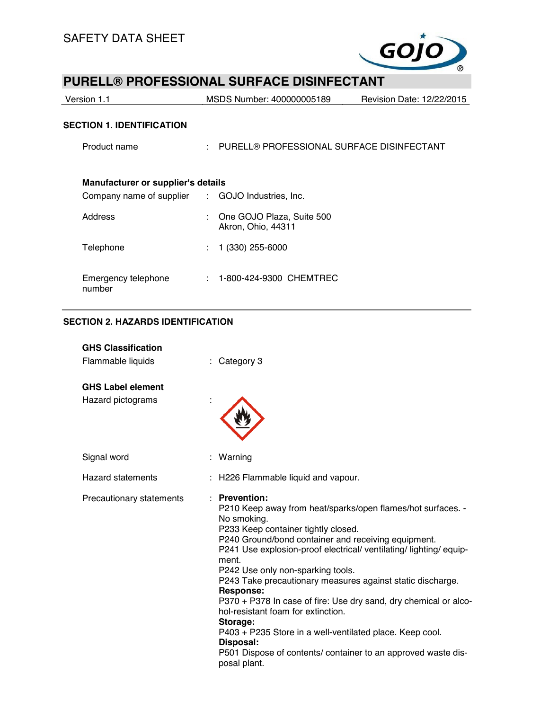

| Version 1.1                                      |            | MSDS Number: 400000005189                       | Revision Date: 12/22/2015 |  |  |  |
|--------------------------------------------------|------------|-------------------------------------------------|---------------------------|--|--|--|
| <b>SECTION 1. IDENTIFICATION</b>                 |            |                                                 |                           |  |  |  |
| Product name                                     | $\sim 100$ | PURELL® PROFESSIONAL SURFACE DISINFECTANT       |                           |  |  |  |
|                                                  |            |                                                 |                           |  |  |  |
| Manufacturer or supplier's details               |            |                                                 |                           |  |  |  |
| Company name of supplier : GOJO Industries, Inc. |            |                                                 |                           |  |  |  |
| Address                                          | t.         | One GOJO Plaza, Suite 500<br>Akron, Ohio, 44311 |                           |  |  |  |
| Telephone                                        |            | $(330)$ 255-6000                                |                           |  |  |  |

| Emergency telephone | : 1-800-424-9300 CHEMTREC |  |
|---------------------|---------------------------|--|
| number              |                           |  |

## **SECTION 2. HAZARDS IDENTIFICATION**

| <b>GHS Classification</b><br>Flammable liquids | : Category 3                                                                                                                                                                                                                                                                                                                                                                                                                                                                                                                                                                                                                                                                  |
|------------------------------------------------|-------------------------------------------------------------------------------------------------------------------------------------------------------------------------------------------------------------------------------------------------------------------------------------------------------------------------------------------------------------------------------------------------------------------------------------------------------------------------------------------------------------------------------------------------------------------------------------------------------------------------------------------------------------------------------|
| <b>GHS Label element</b><br>Hazard pictograms  |                                                                                                                                                                                                                                                                                                                                                                                                                                                                                                                                                                                                                                                                               |
| Signal word                                    | Warning                                                                                                                                                                                                                                                                                                                                                                                                                                                                                                                                                                                                                                                                       |
| Hazard statements                              | : H226 Flammable liquid and vapour.                                                                                                                                                                                                                                                                                                                                                                                                                                                                                                                                                                                                                                           |
| Precautionary statements                       | <b>Prevention:</b><br>P210 Keep away from heat/sparks/open flames/hot surfaces. -<br>No smoking.<br>P233 Keep container tightly closed.<br>P240 Ground/bond container and receiving equipment.<br>P241 Use explosion-proof electrical/ ventilating/ lighting/ equip-<br>ment.<br>P242 Use only non-sparking tools.<br>P243 Take precautionary measures against static discharge.<br>Response:<br>P370 + P378 In case of fire: Use dry sand, dry chemical or alco-<br>hol-resistant foam for extinction.<br>Storage:<br>P403 + P235 Store in a well-ventilated place. Keep cool.<br>Disposal:<br>P501 Dispose of contents/ container to an approved waste dis-<br>posal plant. |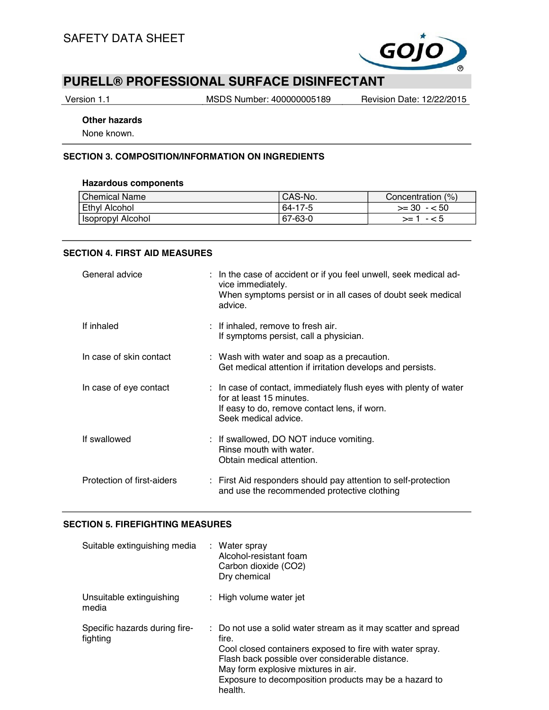

Version 1.1 MSDS Number: 400000005189 Revision Date: 12/22/2015

#### **Other hazards**

None known.

#### **SECTION 3. COMPOSITION/INFORMATION ON INGREDIENTS**

#### **Hazardous components**

| <b>Chemical Name</b> | CAS-No. | Concentration (%) |
|----------------------|---------|-------------------|
| Ethyl Alcohol        | 64-17-5 | $>= 30 - 50$      |
| Isopropyl Alcohol    | 67-63-0 | $> = 1 - 5$       |

### **SECTION 4. FIRST AID MEASURES**

| General advice             | : In the case of accident or if you feel unwell, seek medical ad-<br>vice immediately.<br>When symptoms persist or in all cases of doubt seek medical<br>advice.                 |
|----------------------------|----------------------------------------------------------------------------------------------------------------------------------------------------------------------------------|
| If inhaled                 | : If inhaled, remove to fresh air.<br>If symptoms persist, call a physician.                                                                                                     |
| In case of skin contact    | : Wash with water and soap as a precaution.<br>Get medical attention if irritation develops and persists.                                                                        |
| In case of eye contact     | $\therefore$ In case of contact, immediately flush eyes with plenty of water<br>for at least 15 minutes.<br>If easy to do, remove contact lens, if worn.<br>Seek medical advice. |
| If swallowed               | : If swallowed, DO NOT induce vomiting.<br>Rinse mouth with water.<br>Obtain medical attention.                                                                                  |
| Protection of first-aiders | : First Aid responders should pay attention to self-protection<br>and use the recommended protective clothing                                                                    |

#### **SECTION 5. FIREFIGHTING MEASURES**

| Suitable extinguishing media              | : Water spray<br>Alcohol-resistant foam<br>Carbon dioxide (CO2)<br>Dry chemical                                                                                                                                                                                                                   |
|-------------------------------------------|---------------------------------------------------------------------------------------------------------------------------------------------------------------------------------------------------------------------------------------------------------------------------------------------------|
| Unsuitable extinguishing<br>media         | : High volume water jet                                                                                                                                                                                                                                                                           |
| Specific hazards during fire-<br>fighting | : Do not use a solid water stream as it may scatter and spread<br>fire.<br>Cool closed containers exposed to fire with water spray.<br>Flash back possible over considerable distance.<br>May form explosive mixtures in air.<br>Exposure to decomposition products may be a hazard to<br>health. |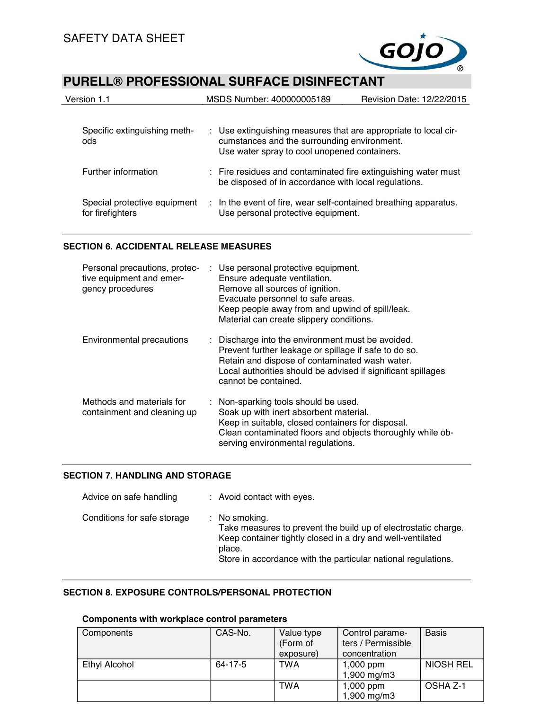

| Version 1.1                                      |  | MSDS Number: 400000005189                                                                                              | Revision Date: 12/22/2015 |
|--------------------------------------------------|--|------------------------------------------------------------------------------------------------------------------------|---------------------------|
| Specific extinguishing meth-                     |  | : Use extinguishing measures that are appropriate to local cir-                                                        |                           |
| ods                                              |  | cumstances and the surrounding environment.<br>Use water spray to cool unopened containers.                            |                           |
| Further information                              |  | : Fire residues and contaminated fire extinguishing water must<br>be disposed of in accordance with local regulations. |                           |
| Special protective equipment<br>for firefighters |  | : In the event of fire, wear self-contained breathing apparatus.<br>Use personal protective equipment.                 |                           |

## **SECTION 6. ACCIDENTAL RELEASE MEASURES**

| Personal precautions, protec-<br>tive equipment and emer-<br>gency procedures | : Use personal protective equipment.<br>Ensure adequate ventilation.<br>Remove all sources of ignition.<br>Evacuate personnel to safe areas.<br>Keep people away from and upwind of spill/leak.<br>Material can create slippery conditions.          |
|-------------------------------------------------------------------------------|------------------------------------------------------------------------------------------------------------------------------------------------------------------------------------------------------------------------------------------------------|
| Environmental precautions                                                     | : Discharge into the environment must be avoided.<br>Prevent further leakage or spillage if safe to do so.<br>Retain and dispose of contaminated wash water.<br>Local authorities should be advised if significant spillages<br>cannot be contained. |
| Methods and materials for<br>containment and cleaning up                      | : Non-sparking tools should be used.<br>Soak up with inert absorbent material.<br>Keep in suitable, closed containers for disposal.<br>Clean contaminated floors and objects thoroughly while ob-<br>serving environmental regulations.              |

## **SECTION 7. HANDLING AND STORAGE**

| Advice on safe handling     | : Avoid contact with eyes.                                                                                                                                                                                               |
|-----------------------------|--------------------------------------------------------------------------------------------------------------------------------------------------------------------------------------------------------------------------|
| Conditions for safe storage | : No smoking.<br>Take measures to prevent the build up of electrostatic charge.<br>Keep container tightly closed in a dry and well-ventilated<br>place.<br>Store in accordance with the particular national regulations. |

## **SECTION 8. EXPOSURE CONTROLS/PERSONAL PROTECTION**

## **Components with workplace control parameters**

| Components    | CAS-No. | Value type<br>(Form of<br>exposure) | Control parame-<br>ters / Permissible<br>concentration | <b>Basis</b>     |
|---------------|---------|-------------------------------------|--------------------------------------------------------|------------------|
| Ethyl Alcohol | 64-17-5 | <b>TWA</b>                          | $1,000$ ppm<br>1,900 mg/m3                             | <b>NIOSH REL</b> |
|               |         | <b>TWA</b>                          | $1,000$ ppm<br>1,900 mg/m3                             | OSHA Z-1         |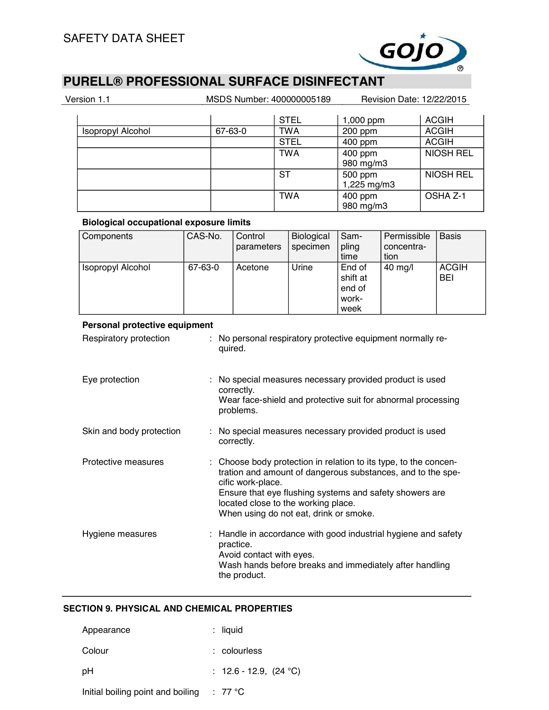

| Version 1.1 |                          |         | MSDS Number: 400000005189 | Revision Date: 12/22/2015 |                  |  |
|-------------|--------------------------|---------|---------------------------|---------------------------|------------------|--|
|             |                          |         | <b>STEL</b>               | 1,000 ppm                 | <b>ACGIH</b>     |  |
|             | <b>Isopropyl Alcohol</b> | 67-63-0 | TWA                       | 200 ppm                   | <b>ACGIH</b>     |  |
|             |                          |         | <b>STEL</b>               | 400 ppm                   | <b>ACGIH</b>     |  |
|             |                          |         | <b>TWA</b>                | 400 ppm<br>980 mg/m3      | <b>NIOSH REL</b> |  |
|             |                          |         | ST                        | 500 ppm<br>1,225 mg/m3    | <b>NIOSH REL</b> |  |
|             |                          |         | <b>TWA</b>                | 400 ppm<br>980 mg/m3      | OSHA Z-1         |  |

## **Biological occupational exposure limits**

| Components                                                                                                                                                            | CAS-No. | Control<br>parameters | Biological<br>specimen | Sam-<br>pling<br>time                         | Permissible<br>concentra-<br>tion | <b>Basis</b>               |
|-----------------------------------------------------------------------------------------------------------------------------------------------------------------------|---------|-----------------------|------------------------|-----------------------------------------------|-----------------------------------|----------------------------|
| Isopropyl Alcohol                                                                                                                                                     | 67-63-0 | Acetone               | Urine                  | End of<br>shift at<br>end of<br>work-<br>week | $40$ mg/l                         | <b>ACGIH</b><br><b>BEI</b> |
| Personal protective equipment                                                                                                                                         |         |                       |                        |                                               |                                   |                            |
| Respiratory protection<br>: No personal respiratory protective equipment normally re-<br>quired.                                                                      |         |                       |                        |                                               |                                   |                            |
| : No special measures necessary provided product is used<br>Eye protection<br>correctly.<br>Wear face-shield and protective suit for abnormal processing<br>problems. |         |                       |                        |                                               |                                   |                            |

| Skin and body protection | : No special measures necessary provided product is used<br>correctly.                                                                                                                                                                                                                           |
|--------------------------|--------------------------------------------------------------------------------------------------------------------------------------------------------------------------------------------------------------------------------------------------------------------------------------------------|
| Protective measures      | : Choose body protection in relation to its type, to the concen-<br>tration and amount of dangerous substances, and to the spe-<br>cific work-place.<br>Ensure that eye flushing systems and safety showers are<br>located close to the working place.<br>When using do not eat, drink or smoke. |
| Hygiene measures         | : Handle in accordance with good industrial hygiene and safety<br>practice.<br>Avoid contact with eyes.<br>Wash hands before breaks and immediately after handling<br>the product.                                                                                                               |

## **SECTION 9. PHYSICAL AND CHEMICAL PROPERTIES**

| Appearance                        | $:$ liquid               |
|-----------------------------------|--------------------------|
| Colour                            | $:$ colourless           |
| рH                                | : 12.6 - 12.9, $(24 °C)$ |
| Initial boiling point and boiling | $: 77^{\circ}$ C         |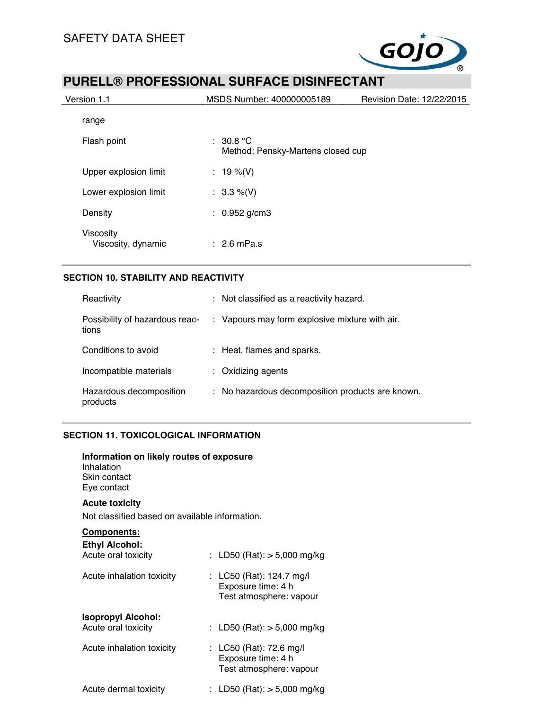

| Version 1.1                     | MSDS Number: 400000005189                          | Revision Date: 12/22/2015 |
|---------------------------------|----------------------------------------------------|---------------------------|
| range                           |                                                    |                           |
| Flash point                     | $\pm$ 30.8 °C<br>Method: Pensky-Martens closed cup |                           |
| Upper explosion limit           | : 19 %(V)                                          |                           |
| Lower explosion limit           | : $3.3\%$ (V)                                      |                           |
| Density                         | : $0.952$ g/cm3                                    |                           |
| Viscosity<br>Viscosity, dynamic | $\div$ 2.6 mPa.s                                   |                           |

## **SECTION 10. STABILITY AND REACTIVITY**

| Reactivity                              | : Not classified as a reactivity hazard.         |
|-----------------------------------------|--------------------------------------------------|
| Possibility of hazardous reac-<br>tions | : Vapours may form explosive mixture with air.   |
| Conditions to avoid                     | : Heat, flames and sparks.                       |
| Incompatible materials                  | $:$ Oxidizing agents                             |
| Hazardous decomposition<br>products     | : No hazardous decomposition products are known. |

## **SECTION 11. TOXICOLOGICAL INFORMATION**

| Information on likely routes of exposure<br>Inhalation<br>Skin contact<br>Eye contact |                                                                           |
|---------------------------------------------------------------------------------------|---------------------------------------------------------------------------|
| <b>Acute toxicity</b><br>Not classified based on available information.               |                                                                           |
| <u>Components:</u><br><b>Ethyl Alcohol:</b><br>Acute oral toxicity                    | : LD50 (Rat): $>$ 5,000 mg/kg                                             |
| Acute inhalation toxicity                                                             | : LC50 (Rat): 124.7 mg/l<br>Exposure time: 4 h<br>Test atmosphere: vapour |
| <b>Isopropyl Alcohol:</b><br>Acute oral toxicity                                      | : LD50 (Rat): $>$ 5,000 mg/kg                                             |
| Acute inhalation toxicity                                                             | : LC50 (Rat): 72.6 mg/l<br>Exposure time: 4 h<br>Test atmosphere: vapour  |
| Acute dermal toxicity                                                                 | : LD50 (Rat): $>$ 5,000 mg/kg                                             |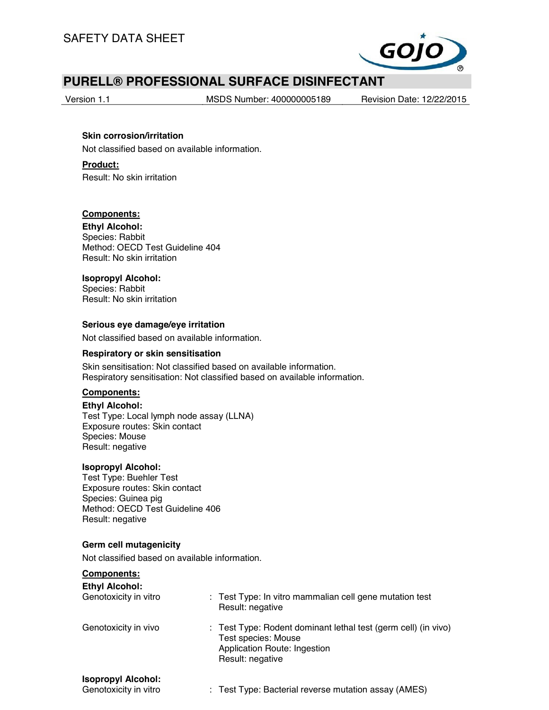

Version 1.1 MSDS Number: 400000005189 Revision Date: 12/22/2015

## **Skin corrosion/irritation** Not classified based on available information.

**Product:** Result: No skin irritation

## **Components:**

**Ethyl Alcohol:** Species: Rabbit Method: OECD Test Guideline 404 Result: No skin irritation

## **Isopropyl Alcohol:**

Species: Rabbit Result: No skin irritation

## **Serious eye damage/eye irritation**

Not classified based on available information.

### **Respiratory or skin sensitisation**

Skin sensitisation: Not classified based on available information. Respiratory sensitisation: Not classified based on available information.

## **Components:**

**Ethyl Alcohol:** Test Type: Local lymph node assay (LLNA) Exposure routes: Skin contact Species: Mouse Result: negative

## **Isopropyl Alcohol:**

Test Type: Buehler Test Exposure routes: Skin contact Species: Guinea pig Method: OECD Test Guideline 406 Result: negative

## **Germ cell mutagenicity**

Not classified based on available information.

## **Components:**

| <b>Ethyl Alcohol:</b><br>Genotoxicity in vitro     | : Test Type: In vitro mammalian cell gene mutation test<br>Result: negative                                                               |
|----------------------------------------------------|-------------------------------------------------------------------------------------------------------------------------------------------|
| Genotoxicity in vivo                               | : Test Type: Rodent dominant lethal test (germ cell) (in vivo)<br>Test species: Mouse<br>Application Route: Ingestion<br>Result: negative |
| <b>Isopropyl Alcohol:</b><br>Genotoxicity in vitro | : Test Type: Bacterial reverse mutation assay (AMES)                                                                                      |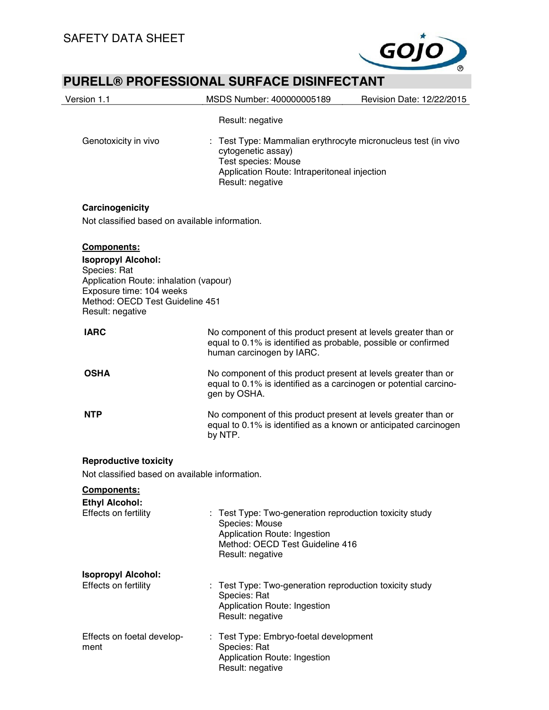

| Version 1.1                                                                                                                                                                                  | MSDS Number: 400000005189<br>Revision Date: 12/22/2015                                                                                                                       |
|----------------------------------------------------------------------------------------------------------------------------------------------------------------------------------------------|------------------------------------------------------------------------------------------------------------------------------------------------------------------------------|
|                                                                                                                                                                                              | Result: negative                                                                                                                                                             |
| Genotoxicity in vivo                                                                                                                                                                         | Test Type: Mammalian erythrocyte micronucleus test (in vivo<br>cytogenetic assay)<br>Test species: Mouse<br>Application Route: Intraperitoneal injection<br>Result: negative |
| Carcinogenicity                                                                                                                                                                              |                                                                                                                                                                              |
| Not classified based on available information.                                                                                                                                               |                                                                                                                                                                              |
| <b>Components:</b><br><b>Isopropyl Alcohol:</b><br>Species: Rat<br>Application Route: inhalation (vapour)<br>Exposure time: 104 weeks<br>Method: OECD Test Guideline 451<br>Result: negative |                                                                                                                                                                              |
| <b>IARC</b>                                                                                                                                                                                  | No component of this product present at levels greater than or<br>equal to 0.1% is identified as probable, possible or confirmed<br>human carcinogen by IARC.                |
| <b>OSHA</b>                                                                                                                                                                                  | No component of this product present at levels greater than or<br>equal to 0.1% is identified as a carcinogen or potential carcino-<br>gen by OSHA.                          |
| <b>NTP</b>                                                                                                                                                                                   | No component of this product present at levels greater than or<br>equal to 0.1% is identified as a known or anticipated carcinogen<br>by NTP.                                |
| <b>Reproductive toxicity</b><br>Not classified based on available information.<br>Components:                                                                                                |                                                                                                                                                                              |
| <b>Ethyl Alcohol:</b><br>Effects on fertility                                                                                                                                                | : Test Type: Two-generation reproduction toxicity study<br>Species: Mouse<br>Application Route: Ingestion<br>Method: OECD Test Guideline 416<br>Result: negative             |
| <b>Isopropyl Alcohol:</b><br>Effects on fertility                                                                                                                                            | Test Type: Two-generation reproduction toxicity study<br>Species: Rat<br>Application Route: Ingestion<br>Result: negative                                                    |
| Effects on foetal develop-<br>ment                                                                                                                                                           | : Test Type: Embryo-foetal development<br>Species: Rat<br>Application Route: Ingestion<br>Result: negative                                                                   |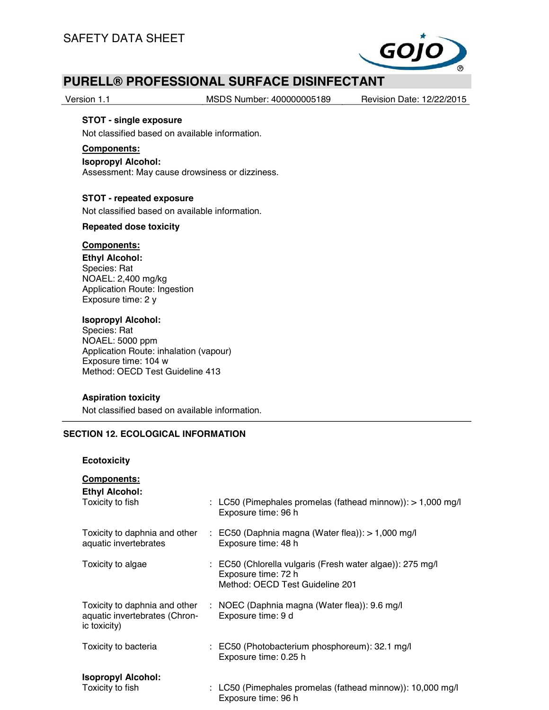

Version 1.1 MSDS Number: 400000005189 Revision Date: 12/22/2015

## **STOT - single exposure**

Not classified based on available information.

#### **Components:**

#### **Isopropyl Alcohol:**

Assessment: May cause drowsiness or dizziness.

### **STOT - repeated exposure**

Not classified based on available information.

### **Repeated dose toxicity**

#### **Components:**

**Ethyl Alcohol:** Species: Rat NOAEL: 2,400 mg/kg Application Route: Ingestion Exposure time: 2 y

### **Isopropyl Alcohol:**

Species: Rat NOAEL: 5000 ppm Application Route: inhalation (vapour) Exposure time: 104 w Method: OECD Test Guideline 413

## **Aspiration toxicity**

Not classified based on available information.

## **SECTION 12. ECOLOGICAL INFORMATION**

### **Ecotoxicity**

#### **Components:**

| <b>Ethyl Alcohol:</b><br>Toxicity to fish                                      | : LC50 (Pimephales promelas (fathead minnow)): $> 1,000$ mg/l<br>Exposure time: 96 h                                |
|--------------------------------------------------------------------------------|---------------------------------------------------------------------------------------------------------------------|
| Toxicity to daphnia and other<br>aquatic invertebrates                         | $\therefore$ EC50 (Daphnia magna (Water flea)): $> 1,000$ mg/l<br>Exposure time: 48 h                               |
| Toxicity to algae                                                              | : EC50 (Chlorella vulgaris (Fresh water algae)): 275 mg/l<br>Exposure time: 72 h<br>Method: OECD Test Guideline 201 |
| Toxicity to daphnia and other<br>aquatic invertebrates (Chron-<br>ic toxicity) | : NOEC (Daphnia magna (Water flea)): $9.6 \text{ mg/l}$<br>Exposure time: 9 d                                       |
| Toxicity to bacteria                                                           | : EC50 (Photobacterium phosphoreum): 32.1 mg/l<br>Exposure time: 0.25 h                                             |
| <b>Isopropyl Alcohol:</b><br>Toxicity to fish                                  | : LC50 (Pimephales promelas (fathead minnow)): 10,000 mg/l<br>Exposure time: 96 h                                   |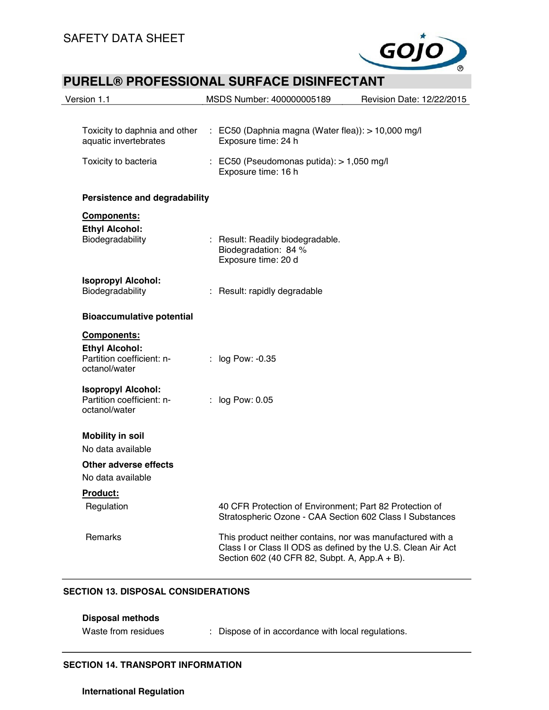

| Version 1.1                                                                        | MSDS Number: 400000005189                                                                                                                                                   | Revision Date: 12/22/2015 |
|------------------------------------------------------------------------------------|-----------------------------------------------------------------------------------------------------------------------------------------------------------------------------|---------------------------|
| Toxicity to daphnia and other<br>aquatic invertebrates                             | : EC50 (Daphnia magna (Water flea)): $> 10,000$ mg/l<br>Exposure time: 24 h                                                                                                 |                           |
| Toxicity to bacteria                                                               | $\therefore$ EC50 (Pseudomonas putida): $> 1,050$ mg/l<br>Exposure time: 16 h                                                                                               |                           |
| Persistence and degradability                                                      |                                                                                                                                                                             |                           |
| Components:<br><b>Ethyl Alcohol:</b><br>Biodegradability                           | : Result: Readily biodegradable.<br>Biodegradation: 84 %<br>Exposure time: 20 d                                                                                             |                           |
| <b>Isopropyl Alcohol:</b><br>Biodegradability                                      | : Result: rapidly degradable                                                                                                                                                |                           |
| <b>Bioaccumulative potential</b>                                                   |                                                                                                                                                                             |                           |
| Components:<br><b>Ethyl Alcohol:</b><br>Partition coefficient: n-<br>octanol/water | : log Pow: -0.35                                                                                                                                                            |                           |
| <b>Isopropyl Alcohol:</b><br>Partition coefficient: n-<br>octanol/water            | log Pow: 0.05                                                                                                                                                               |                           |
| <b>Mobility in soil</b><br>No data available                                       |                                                                                                                                                                             |                           |
| <b>Other adverse effects</b><br>No data available                                  |                                                                                                                                                                             |                           |
| Product:                                                                           |                                                                                                                                                                             |                           |
| Regulation                                                                         | 40 CFR Protection of Environment; Part 82 Protection of<br>Stratospheric Ozone - CAA Section 602 Class I Substances                                                         |                           |
| Remarks                                                                            | This product neither contains, nor was manufactured with a<br>Class I or Class II ODS as defined by the U.S. Clean Air Act<br>Section 602 (40 CFR 82, Subpt. A, App.A + B). |                           |

## **SECTION 13. DISPOSAL CONSIDERATIONS**

| Disposal methods    |                                                    |
|---------------------|----------------------------------------------------|
| Waste from residues | : Dispose of in accordance with local regulations. |

## **SECTION 14. TRANSPORT INFORMATION**

## **International Regulation**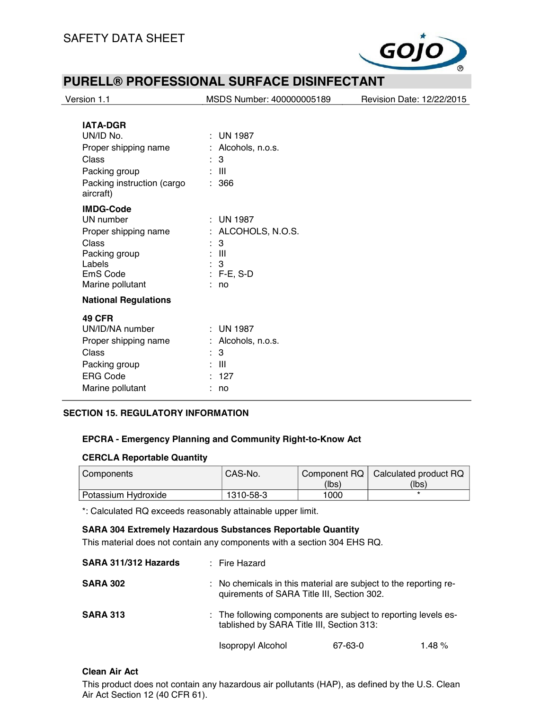

| Version 1.1                             | MSDS Number: 400000005189 | Revision Date: 12/22/2015 |
|-----------------------------------------|---------------------------|---------------------------|
|                                         |                           |                           |
| <b>IATA-DGR</b>                         |                           |                           |
| UN/ID No.                               | $:$ UN 1987               |                           |
| Proper shipping name                    | : Alcohols, n.o.s.        |                           |
| Class                                   | $\therefore$ 3            |                           |
| Packing group                           | $\therefore$ III          |                           |
| Packing instruction (cargo<br>aircraft) | : 366                     |                           |
| <b>IMDG-Code</b>                        |                           |                           |
| UN number                               | $\therefore$ UN 1987      |                           |
| Proper shipping name                    | ALCOHOLS, N.O.S.          |                           |
| Class                                   | 3<br>÷                    |                           |
| Packing group                           | : III                     |                           |
| Labels                                  | 3                         |                           |
| EmS Code                                | $: F-E, S-D$<br>÷.        |                           |
| Marine pollutant                        | no                        |                           |
| <b>National Regulations</b>             |                           |                           |
| <b>49 CFR</b>                           |                           |                           |
| UN/ID/NA number                         | $:$ UN 1987               |                           |
| Proper shipping name                    | Alcohols, n.o.s.          |                           |
| Class                                   | 3                         |                           |
| Packing group                           | $\mathbf{III}$            |                           |
| <b>ERG Code</b>                         | : 127                     |                           |
| Marine pollutant                        | no                        |                           |

## **SECTION 15. REGULATORY INFORMATION**

## **EPCRA - Emergency Planning and Community Right-to-Know Act**

#### **CERCLA Reportable Quantity**

| Components            | CAS-No.   |       | Component RQ   Calculated product RQ |
|-----------------------|-----------|-------|--------------------------------------|
|                       |           | (lbs) | (lbs)                                |
| l Potassium Hydroxide | 1310-58-3 | 1000  |                                      |

\*: Calculated RQ exceeds reasonably attainable upper limit.

## **SARA 304 Extremely Hazardous Substances Reportable Quantity**

This material does not contain any components with a section 304 EHS RQ.

| SARA 311/312 Hazards | : Fire Hazard                                                                                                  |         |          |
|----------------------|----------------------------------------------------------------------------------------------------------------|---------|----------|
| <b>SARA 302</b>      | : No chemicals in this material are subject to the reporting re-<br>quirements of SARA Title III, Section 302. |         |          |
| <b>SARA 313</b>      | : The following components are subject to reporting levels es-<br>tablished by SARA Title III, Section 313:    |         |          |
|                      | <b>Isopropyl Alcohol</b>                                                                                       | 67-63-0 | 1.48 $%$ |

### **Clean Air Act**

This product does not contain any hazardous air pollutants (HAP), as defined by the U.S. Clean Air Act Section 12 (40 CFR 61).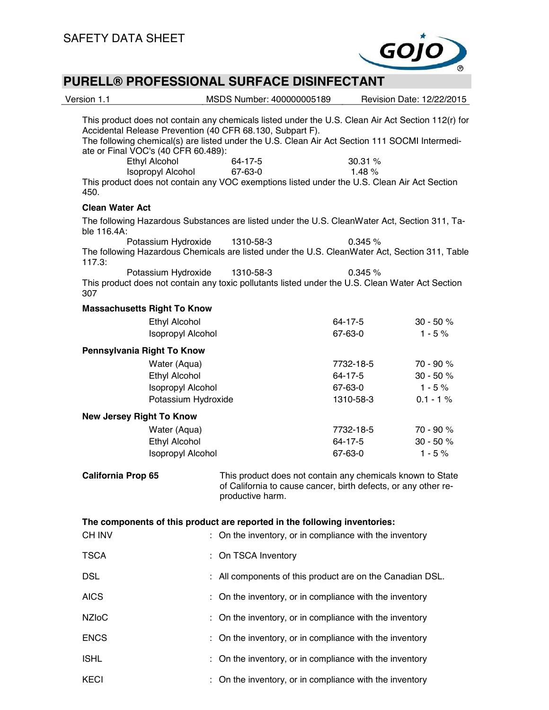

| Version 1.1               |                                                      | MSDS Number: 400000005189                                                                                                                                                                                                                                         |                                                                                                                              | Revision Date: 12/22/2015 |
|---------------------------|------------------------------------------------------|-------------------------------------------------------------------------------------------------------------------------------------------------------------------------------------------------------------------------------------------------------------------|------------------------------------------------------------------------------------------------------------------------------|---------------------------|
|                           |                                                      | This product does not contain any chemicals listed under the U.S. Clean Air Act Section 112(r) for<br>Accidental Release Prevention (40 CFR 68.130, Subpart F).<br>The following chemical(s) are listed under the U.S. Clean Air Act Section 111 SOCMI Intermedi- |                                                                                                                              |                           |
|                           | ate or Final VOC's (40 CFR 60.489):<br>Ethyl Alcohol | 64-17-5                                                                                                                                                                                                                                                           | 30.31 %                                                                                                                      |                           |
| 450.                      | Isopropyl Alcohol                                    | 67-63-0<br>This product does not contain any VOC exemptions listed under the U.S. Clean Air Act Section                                                                                                                                                           | 1.48%                                                                                                                        |                           |
| <b>Clean Water Act</b>    |                                                      |                                                                                                                                                                                                                                                                   |                                                                                                                              |                           |
| ble 116.4A:               |                                                      | The following Hazardous Substances are listed under the U.S. CleanWater Act, Section 311, Ta-                                                                                                                                                                     |                                                                                                                              |                           |
| 117.3:                    | Potassium Hydroxide                                  | 1310-58-3<br>The following Hazardous Chemicals are listed under the U.S. CleanWater Act, Section 311, Table                                                                                                                                                       | 0.345%                                                                                                                       |                           |
| 307                       | Potassium Hydroxide                                  | 1310-58-3<br>This product does not contain any toxic pollutants listed under the U.S. Clean Water Act Section                                                                                                                                                     | 0.345%                                                                                                                       |                           |
|                           | <b>Massachusetts Right To Know</b>                   |                                                                                                                                                                                                                                                                   |                                                                                                                              |                           |
|                           | <b>Ethyl Alcohol</b>                                 |                                                                                                                                                                                                                                                                   | 64-17-5                                                                                                                      | $30 - 50 %$               |
|                           | <b>Isopropyl Alcohol</b>                             |                                                                                                                                                                                                                                                                   | 67-63-0                                                                                                                      | $1 - 5%$                  |
|                           | Pennsylvania Right To Know                           |                                                                                                                                                                                                                                                                   |                                                                                                                              |                           |
|                           | Water (Aqua)                                         |                                                                                                                                                                                                                                                                   | 7732-18-5                                                                                                                    | 70 - 90 %                 |
|                           | Ethyl Alcohol                                        |                                                                                                                                                                                                                                                                   | 64-17-5                                                                                                                      | $30 - 50 %$               |
|                           | <b>Isopropyl Alcohol</b>                             |                                                                                                                                                                                                                                                                   | 67-63-0                                                                                                                      | $1 - 5%$                  |
|                           | Potassium Hydroxide                                  |                                                                                                                                                                                                                                                                   | 1310-58-3                                                                                                                    | $0.1 - 1%$                |
|                           | <b>New Jersey Right To Know</b>                      |                                                                                                                                                                                                                                                                   |                                                                                                                              |                           |
|                           | Water (Aqua)                                         |                                                                                                                                                                                                                                                                   | 7732-18-5                                                                                                                    | 70 - 90 %                 |
|                           | Ethyl Alcohol                                        |                                                                                                                                                                                                                                                                   | 64-17-5                                                                                                                      | $30 - 50 %$               |
|                           | <b>Isopropyl Alcohol</b>                             |                                                                                                                                                                                                                                                                   | 67-63-0                                                                                                                      | $1 - 5%$                  |
| <b>California Prop 65</b> |                                                      | productive harm.                                                                                                                                                                                                                                                  | This product does not contain any chemicals known to State<br>of California to cause cancer, birth defects, or any other re- |                           |
|                           |                                                      | The components of this product are reported in the following inventories:                                                                                                                                                                                         |                                                                                                                              |                           |
| <b>CH INV</b>             |                                                      | : On the inventory, or in compliance with the inventory                                                                                                                                                                                                           |                                                                                                                              |                           |
| <b>TSCA</b>               |                                                      | On TSCA Inventory                                                                                                                                                                                                                                                 |                                                                                                                              |                           |
| <b>DSL</b>                |                                                      |                                                                                                                                                                                                                                                                   | All components of this product are on the Canadian DSL.                                                                      |                           |
| <b>AICS</b>               |                                                      |                                                                                                                                                                                                                                                                   | On the inventory, or in compliance with the inventory                                                                        |                           |
| <b>NZIoC</b>              |                                                      |                                                                                                                                                                                                                                                                   | On the inventory, or in compliance with the inventory                                                                        |                           |
| <b>ENCS</b>               |                                                      |                                                                                                                                                                                                                                                                   | On the inventory, or in compliance with the inventory                                                                        |                           |
| <b>ISHL</b>               |                                                      |                                                                                                                                                                                                                                                                   | On the inventory, or in compliance with the inventory                                                                        |                           |
| <b>KECI</b>               |                                                      |                                                                                                                                                                                                                                                                   | On the inventory, or in compliance with the inventory                                                                        |                           |